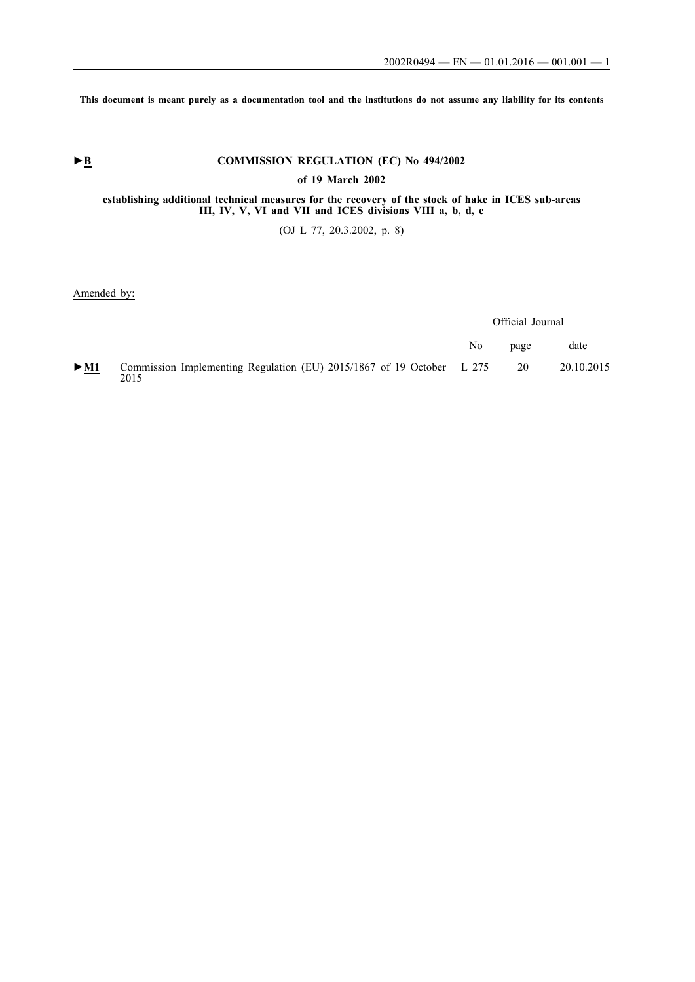**This document is meant purely as a documentation tool and the institutions do not assume any liability for its contents**

# ► **B** COMMISSION REGULATION (EC) No 494/2002

### **of 19 March 2002**

### **establishing additional technical measures for the recovery of the stock of hake in ICES sub-areas III, IV, V, VI and VII and ICES divisions VIII a, b, d, e**

(OJ L 77, 20.3.2002, p. 8)

#### Amended by:

Official Journal

|                            |                                                                               | No. | page | date       |
|----------------------------|-------------------------------------------------------------------------------|-----|------|------------|
| $\triangleright$ <u>M1</u> | Commission Implementing Regulation (EU) 2015/1867 of 19 October L 275<br>2015 |     | 20   | 20.10.2015 |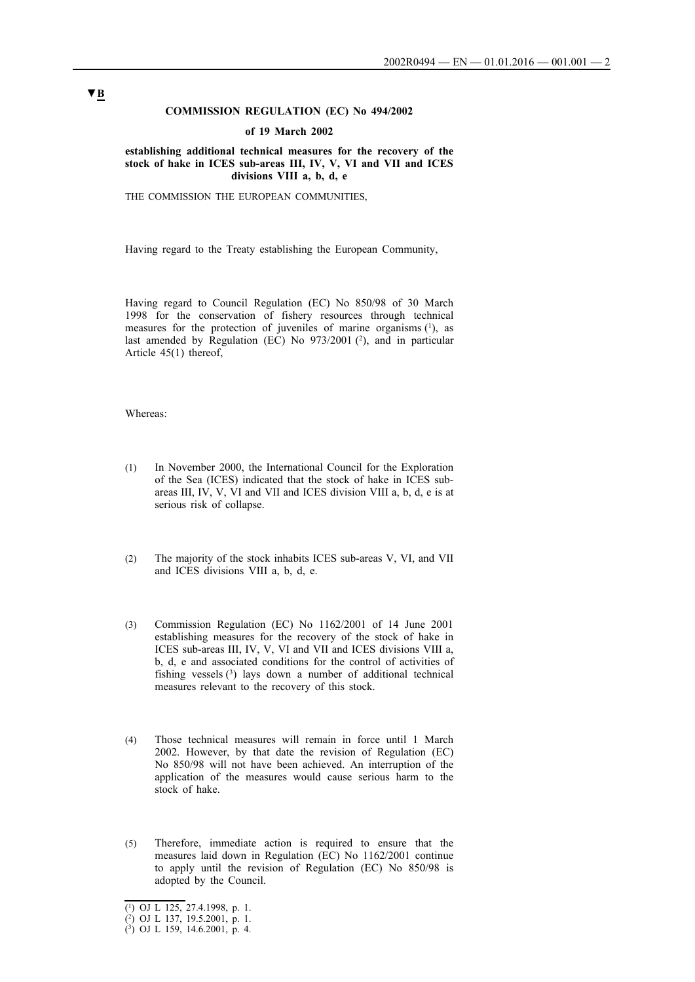### **COMMISSION REGULATION (EC) No 494/2002**

#### **of 19 March 2002**

**establishing additional technical measures for the recovery of the stock of hake in ICES sub-areas III, IV, V, VI and VII and ICES divisions VIII a, b, d, e**

THE COMMISSION THE EUROPEAN COMMUNITIES,

Having regard to the Treaty establishing the European Community,

Having regard to Council Regulation (EC) No 850/98 of 30 March 1998 for the conservation of fishery resources through technical measures for the protection of juveniles of marine organisms  $(1)$ , as last amended by Regulation (EC) No 973/2001 (2), and in particular Article 45(1) thereof,

### Whereas:

- (1) In November 2000, the International Council for the Exploration of the Sea (ICES) indicated that the stock of hake in ICES subareas III, IV, V, VI and VII and ICES division VIII a, b, d, e is at serious risk of collapse.
- (2) The majority of the stock inhabits ICES sub-areas V, VI, and VII and ICES divisions VIII a, b, d, e.
- (3) Commission Regulation (EC) No 1162/2001 of 14 June 2001 establishing measures for the recovery of the stock of hake in ICES sub-areas III, IV, V, VI and VII and ICES divisions VIII a, b, d, e and associated conditions for the control of activities of fishing vessels  $(3)$  lays down a number of additional technical measures relevant to the recovery of this stock.
- (4) Those technical measures will remain in force until 1 March 2002. However, by that date the revision of Regulation (EC) No 850/98 will not have been achieved. An interruption of the application of the measures would cause serious harm to the stock of hake.
- (5) Therefore, immediate action is required to ensure that the measures laid down in Regulation (EC) No 1162/2001 continue to apply until the revision of Regulation (EC) No 850/98 is adopted by the Council.

<sup>(1)</sup> OJ L 125, 27.4.1998, p. 1.

<sup>(2)</sup> OJ L 137, 19.5.2001, p. 1.

<sup>(3)</sup> OJ L 159, 14.6.2001, p. 4.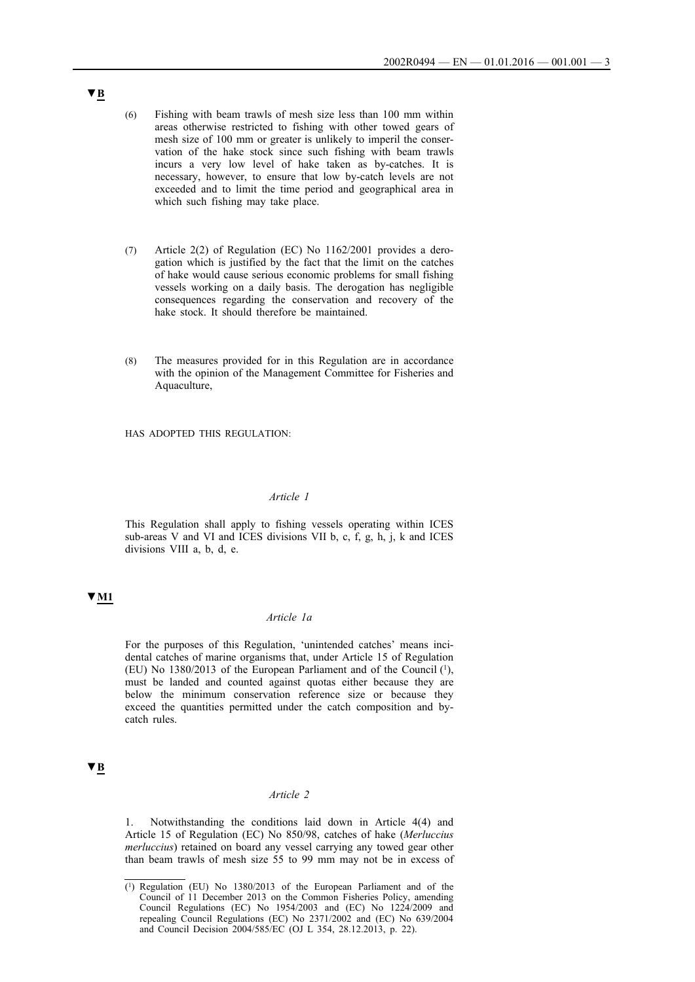- (6) Fishing with beam trawls of mesh size less than 100 mm within areas otherwise restricted to fishing with other towed gears of mesh size of 100 mm or greater is unlikely to imperil the conservation of the hake stock since such fishing with beam trawls incurs a very low level of hake taken as by-catches. It is necessary, however, to ensure that low by-catch levels are not exceeded and to limit the time period and geographical area in which such fishing may take place.
- (7) Article 2(2) of Regulation (EC) No 1162/2001 provides a derogation which is justified by the fact that the limit on the catches of hake would cause serious economic problems for small fishing vessels working on a daily basis. The derogation has negligible consequences regarding the conservation and recovery of the hake stock. It should therefore be maintained.
- (8) The measures provided for in this Regulation are in accordance with the opinion of the Management Committee for Fisheries and Aquaculture,

HAS ADOPTED THIS REGULATION:

### *Article 1*

This Regulation shall apply to fishing vessels operating within ICES sub-areas V and VI and ICES divisions VII b, c, f, g, h, j, k and ICES divisions VIII a, b, d, e.

## **▼M1**

### *Article 1a*

For the purposes of this Regulation, 'unintended catches' means incidental catches of marine organisms that, under Article 15 of Regulation (EU) No 1380/2013 of the European Parliament and of the Council (1), must be landed and counted against quotas either because they are below the minimum conservation reference size or because they exceed the quantities permitted under the catch composition and bycatch rules.

### **▼B**

### *Article 2*

1. Notwithstanding the conditions laid down in Article 4(4) and Article 15 of Regulation (EC) No 850/98, catches of hake (*Merluccius merluccius*) retained on board any vessel carrying any towed gear other than beam trawls of mesh size 55 to 99 mm may not be in excess of

<sup>(1)</sup> Regulation (EU) No 1380/2013 of the European Parliament and of the Council of 11 December 2013 on the Common Fisheries Policy, amending Council Regulations (EC) No 1954/2003 and (EC) No 1224/2009 and repealing Council Regulations (EC) No 2371/2002 and (EC) No 639/2004 and Council Decision 2004/585/EC (OJ L 354, 28.12.2013, p. 22).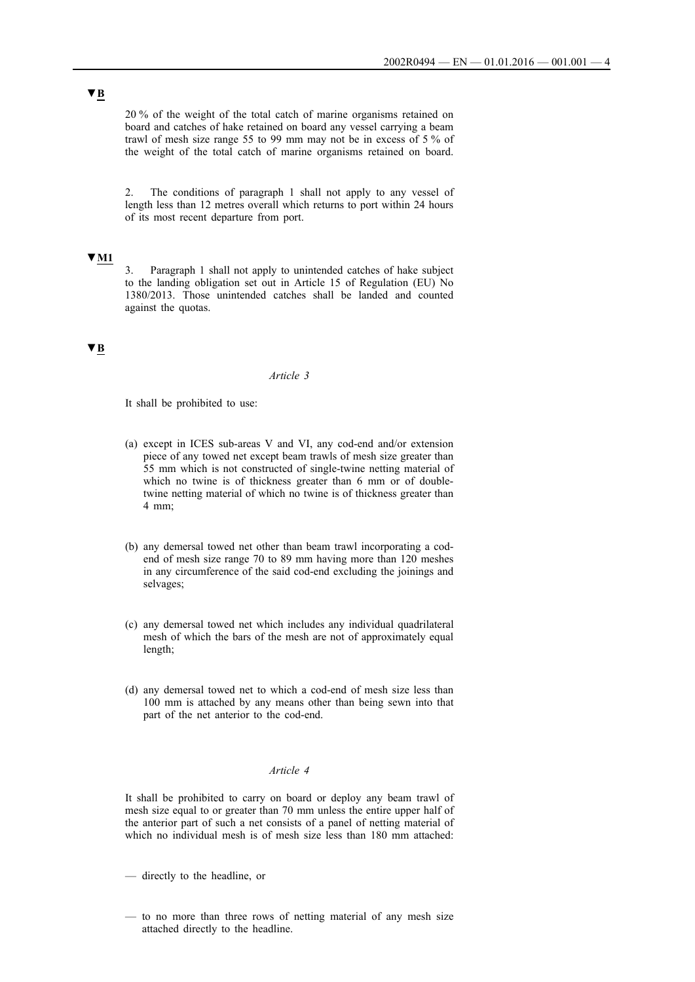20 % of the weight of the total catch of marine organisms retained on board and catches of hake retained on board any vessel carrying a beam trawl of mesh size range 55 to 99 mm may not be in excess of 5 % of the weight of the total catch of marine organisms retained on board.

2. The conditions of paragraph 1 shall not apply to any vessel of length less than 12 metres overall which returns to port within 24 hours of its most recent departure from port.

#### **▼M1**

3. Paragraph 1 shall not apply to unintended catches of hake subject to the landing obligation set out in Article 15 of Regulation (EU) No 1380/2013. Those unintended catches shall be landed and counted against the quotas.

### **▼B**

### *Article 3*

It shall be prohibited to use:

- (a) except in ICES sub-areas V and VI, any cod-end and/or extension piece of any towed net except beam trawls of mesh size greater than 55 mm which is not constructed of single-twine netting material of which no twine is of thickness greater than 6 mm or of doubletwine netting material of which no twine is of thickness greater than 4 mm;
- (b) any demersal towed net other than beam trawl incorporating a codend of mesh size range 70 to 89 mm having more than 120 meshes in any circumference of the said cod-end excluding the joinings and selvages;
- (c) any demersal towed net which includes any individual quadrilateral mesh of which the bars of the mesh are not of approximately equal length;
- (d) any demersal towed net to which a cod-end of mesh size less than 100 mm is attached by any means other than being sewn into that part of the net anterior to the cod-end.

### *Article 4*

It shall be prohibited to carry on board or deploy any beam trawl of mesh size equal to or greater than 70 mm unless the entire upper half of the anterior part of such a net consists of a panel of netting material of which no individual mesh is of mesh size less than 180 mm attached:

- directly to the headline, or
- to no more than three rows of netting material of any mesh size attached directly to the headline.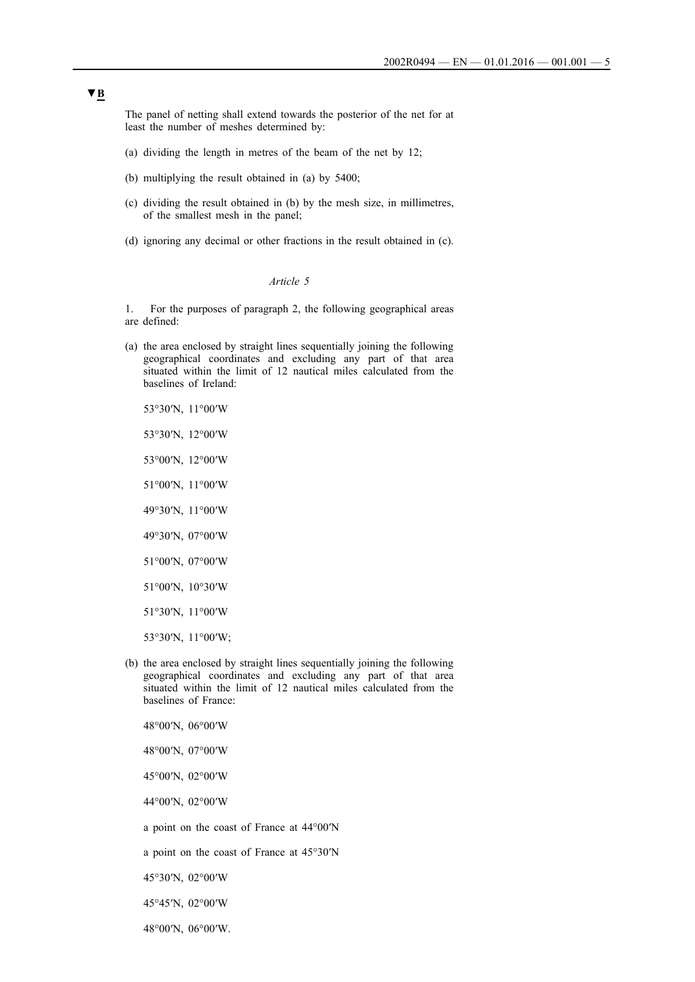The panel of netting shall extend towards the posterior of the net for at least the number of meshes determined by:

- (a) dividing the length in metres of the beam of the net by 12;
- (b) multiplying the result obtained in (a) by 5400;
- (c) dividing the result obtained in (b) by the mesh size, in millimetres, of the smallest mesh in the panel;
- (d) ignoring any decimal or other fractions in the result obtained in (c).

#### *Article 5*

1. For the purposes of paragraph 2, the following geographical areas are defined:

- (a) the area enclosed by straight lines sequentially joining the following geographical coordinates and excluding any part of that area situated within the limit of 12 nautical miles calculated from the baselines of Ireland:
	- 53°30′N, 11°00′W
	- 53°30′N, 12°00′W
	- 53°00′N, 12°00′W
	- 51°00′N, 11°00′W
	- 49°30′N, 11°00′W
	- 49°30′N, 07°00′W
	- 51°00′N, 07°00′W
	- 51°00′N, 10°30′W
	- 51°30′N, 11°00′W
	- 53°30′N, 11°00′W;
- (b) the area enclosed by straight lines sequentially joining the following geographical coordinates and excluding any part of that area situated within the limit of 12 nautical miles calculated from the baselines of France:
	- 48°00′N, 06°00′W
	- 48°00′N, 07°00′W
	- 45°00′N, 02°00′W
	- 44°00′N, 02°00′W
	- a point on the coast of France at 44°00′N
	- a point on the coast of France at 45°30′N
	- 45°30′N, 02°00′W
	- 45°45′N, 02°00′W
	- 48°00′N, 06°00′W.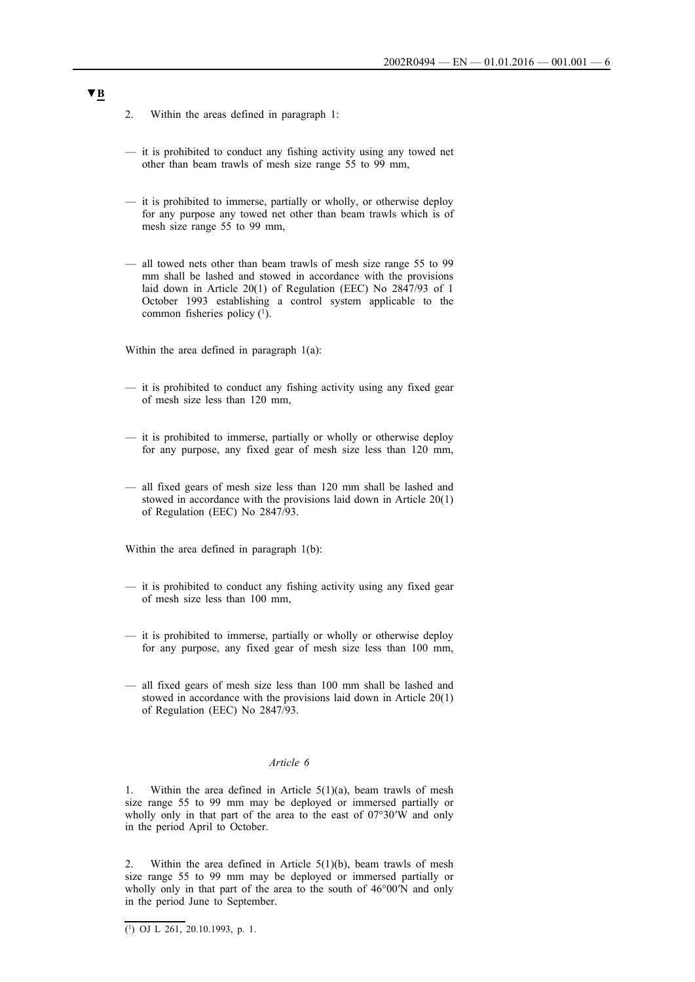- 2. Within the areas defined in paragraph 1:
- it is prohibited to conduct any fishing activity using any towed net other than beam trawls of mesh size range 55 to 99 mm,
- it is prohibited to immerse, partially or wholly, or otherwise deploy for any purpose any towed net other than beam trawls which is of mesh size range 55 to 99 mm,
- all towed nets other than beam trawls of mesh size range 55 to 99 mm shall be lashed and stowed in accordance with the provisions laid down in Article 20(1) of Regulation (EEC) No 2847/93 of 1 October 1993 establishing a control system applicable to the common fisheries policy  $(1)$ .

Within the area defined in paragraph 1(a):

- it is prohibited to conduct any fishing activity using any fixed gear of mesh size less than 120 mm,
- it is prohibited to immerse, partially or wholly or otherwise deploy for any purpose, any fixed gear of mesh size less than 120 mm,
- all fixed gears of mesh size less than 120 mm shall be lashed and stowed in accordance with the provisions laid down in Article 20(1) of Regulation (EEC) No 2847/93.

Within the area defined in paragraph 1(b):

- it is prohibited to conduct any fishing activity using any fixed gear of mesh size less than 100 mm,
- it is prohibited to immerse, partially or wholly or otherwise deploy for any purpose, any fixed gear of mesh size less than 100 mm,
- all fixed gears of mesh size less than 100 mm shall be lashed and stowed in accordance with the provisions laid down in Article 20(1) of Regulation (EEC) No 2847/93.

#### *Article 6*

1. Within the area defined in Article  $5(1)(a)$ , beam trawls of mesh size range 55 to 99 mm may be deployed or immersed partially or wholly only in that part of the area to the east of 07°30′W and only in the period April to October.

2. Within the area defined in Article  $5(1)(b)$ , beam trawls of mesh size range 55 to 99 mm may be deployed or immersed partially or wholly only in that part of the area to the south of 46°00′N and only in the period June to September.

 $\overline{(^1)}$  OJ L 261, 20.10.1993, p. 1.